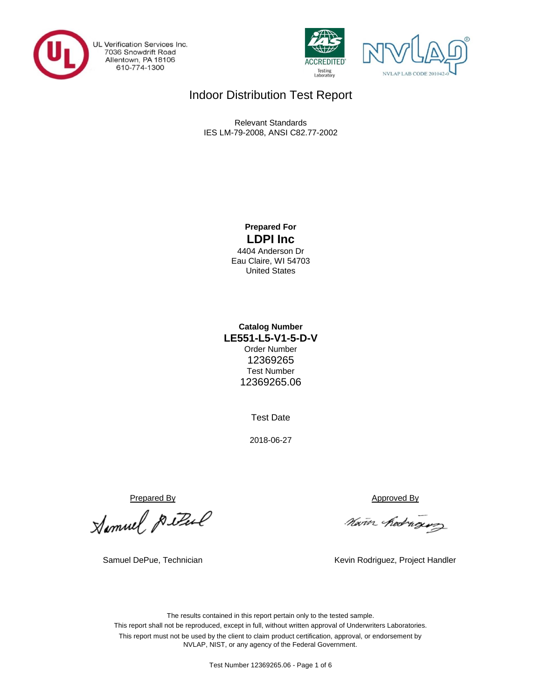

UL Verification Services Inc.<br>7036 Snowdrift Road<br>Allentown, PA 18106 610-774-1300





# Indoor Distribution Test Report

Relevant Standards IES LM-79-2008, ANSI C82.77-2002

## **Prepared For LDPI Inc**

4404 Anderson Dr Eau Claire, WI 54703 United States

## **LE551-L5-V1-5-D-V Catalog Number** Order Number 12369265 Test Number 12369265.06

Test Date

2018-06-27

Prepared By<br>Approved By<br>Marin Redne

Nam hedrogus

Samuel DePue, Technician 
Kevin Rodriguez, Project Handler

The results contained in this report pertain only to the tested sample. This report shall not be reproduced, except in full, without written approval of Underwriters Laboratories. This report must not be used by the client to claim product certification, approval, or endorsement by NVLAP, NIST, or any agency of the Federal Government.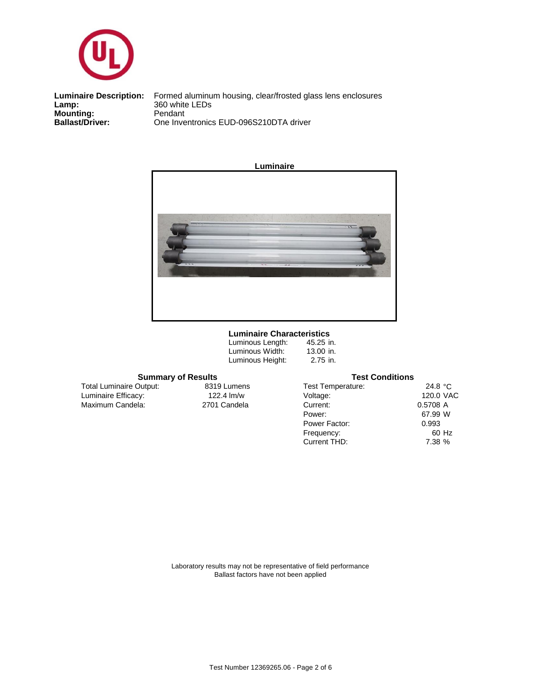

**Mounting:** Pendant<br> **Ballast/Driver:** Pendant<br>
Dne Inve **Luminaire Description:**<br>Lamp:

One Inventronics EUD-096S210DTA driver Formed aluminum housing, clear/frosted glass lens enclosures<br>360 white LEDs



### **Luminaire Characteristics**

| 45.25 in. |
|-----------|
| 13.00 in. |
| 2.75 in.  |
|           |

## **Summary of Results Test Conditions**

Maximum Candela: 2701 Candela Luminaire Efficacy: Total Luminaire Output:

8319 Lumens<br>122.4 lm/w

| Test Temperature: | 24.8 $\degree$ C |
|-------------------|------------------|
| Voltage:          | 120.0 VAC        |
| Current:          | 0.5708 A         |
| Power:            | 67.99 W          |
| Power Factor:     | 0.993            |
| Frequency:        | 60 Hz            |
| Current THD:      | 7.38 %           |
|                   |                  |

Laboratory results may not be representative of field performance Ballast factors have not been applied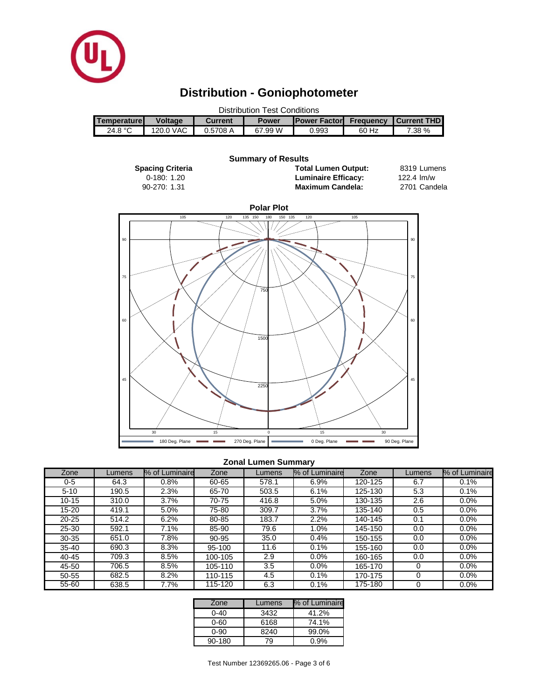

# **Distribution - Goniophotometer**

| <b>Distribution Test Conditions</b> |                |          |              |                      |                  |                    |  |  |
|-------------------------------------|----------------|----------|--------------|----------------------|------------------|--------------------|--|--|
| Temperature                         | <b>Voltage</b> | Current  | <b>Power</b> | <b>IPower Factor</b> | <b>Frequency</b> | <b>Current THD</b> |  |  |
| 24.8 $°C$                           | 120.0 VAC      | 0.5708 A | 67.99 W      | 0.993                | 60 Hz            | 7.38 %             |  |  |

#### 8319 Lumens 2701 Candela 1.31 2701 90-270: **Maximum Candela: Spacing Criteria Total Lumen Output:** 0-180: 1.20 **Summary of Results Luminaire Efficacy:** 122.4 lm/w **Polar Plot** 105 120 135 150 180 150 135 120 105



## **Zonal Lumen Summary**

| Zone      | Lumens | % of Luminaire | Zone    | Lumens | % of Luminaire | Zone    | Lumens | % of Luminaire |
|-----------|--------|----------------|---------|--------|----------------|---------|--------|----------------|
| 0-5       | 64.3   | 0.8%           | 60-65   | 578.1  | 6.9%           | 120-125 | 6.7    | 0.1%           |
| $5 - 10$  | 190.5  | 2.3%           | 65-70   | 503.5  | 6.1%           | 125-130 | 5.3    | 0.1%           |
| $10 - 15$ | 310.0  | 3.7%           | 70-75   | 416.8  | 5.0%           | 130-135 | 2.6    | 0.0%           |
| 15-20     | 419.1  | 5.0%           | 75-80   | 309.7  | 3.7%           | 135-140 | 0.5    | $0.0\%$        |
| $20 - 25$ | 514.2  | 6.2%           | 80-85   | 183.7  | 2.2%           | 140-145 | 0.1    | $0.0\%$        |
| $25 - 30$ | 592.1  | 7.1%           | 85-90   | 79.6   | 1.0%           | 145-150 | 0.0    | $0.0\%$        |
| $30 - 35$ | 651.0  | 7.8%           | 90-95   | 35.0   | 0.4%           | 150-155 | 0.0    | 0.0%           |
| $35 - 40$ | 690.3  | 8.3%           | 95-100  | 11.6   | 0.1%           | 155-160 | 0.0    | 0.0%           |
| $40 - 45$ | 709.3  | 8.5%           | 100-105 | 2.9    | $0.0\%$        | 160-165 | 0.0    | 0.0%           |
| 45-50     | 706.5  | 8.5%           | 105-110 | 3.5    | $0.0\%$        | 165-170 | 0      | 0.0%           |
| 50-55     | 682.5  | 8.2%           | 110-115 | 4.5    | 0.1%           | 170-175 | 0      | $0.0\%$        |
| 55-60     | 638.5  | 7.7%           | 115-120 | 6.3    | 0.1%           | 175-180 | 0      | 0.0%           |

| Zone     | Lumens | % of Luminaire |
|----------|--------|----------------|
| $0 - 40$ | 3432   | 41.2%          |
| $0 - 60$ | 6168   | 74.1%          |
| 0-90     | 8240   | 99.0%          |
| 90-180   | 79     | በ.ዓ%           |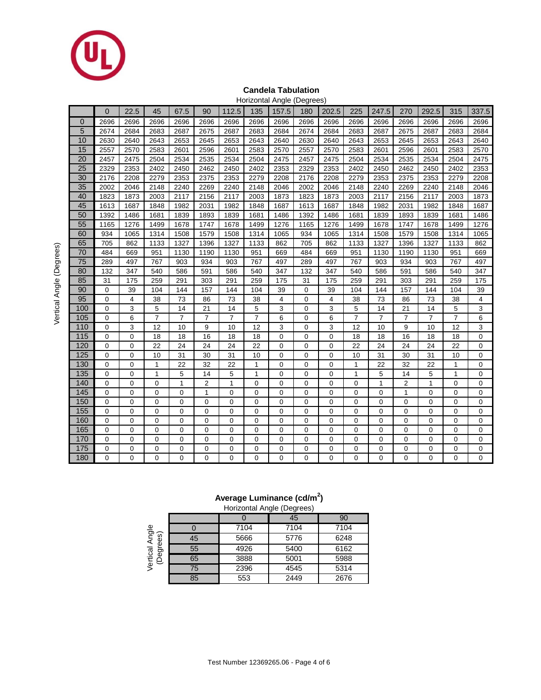

### **Candela Tabulation** Horizontal Angle (Degrees)

|                |                |          |                |                |                         |                |                |             | ञ    |                |                |                |                |                |                |             |
|----------------|----------------|----------|----------------|----------------|-------------------------|----------------|----------------|-------------|------|----------------|----------------|----------------|----------------|----------------|----------------|-------------|
|                | $\overline{0}$ | 22.5     | 45             | 67.5           | 90                      | 112.5          | 135            | 157.5       | 180  | 202.5          | 225            | 247.5          | 270            | 292.5          | 315            | 337.5       |
| $\overline{0}$ | 2696           | 2696     | 2696           | 2696           | 2696                    | 2696           | 2696           | 2696        | 2696 | 2696           | 2696           | 2696           | 2696           | 2696           | 2696           | 2696        |
| 5              | 2674           | 2684     | 2683           | 2687           | 2675                    | 2687           | 2683           | 2684        | 2674 | 2684           | 2683           | 2687           | 2675           | 2687           | 2683           | 2684        |
| 10             | 2630           | 2640     | 2643           | 2653           | 2645                    | 2653           | 2643           | 2640        | 2630 | 2640           | 2643           | 2653           | 2645           | 2653           | 2643           | 2640        |
| 15             | 2557           | 2570     | 2583           | 2601           | 2596                    | 2601           | 2583           | 2570        | 2557 | 2570           | 2583           | 2601           | 2596           | 2601           | 2583           | 2570        |
| 20             | 2457           | 2475     | 2504           | 2534           | 2535                    | 2534           | 2504           | 2475        | 2457 | 2475           | 2504           | 2534           | 2535           | 2534           | 2504           | 2475        |
| 25             | 2329           | 2353     | 2402           | 2450           | 2462                    | 2450           | 2402           | 2353        | 2329 | 2353           | 2402           | 2450           | 2462           | 2450           | 2402           | 2353        |
| 30             | 2176           | 2208     | 2279           | 2353           | 2375                    | 2353           | 2279           | 2208        | 2176 | 2208           | 2279           | 2353           | 2375           | 2353           | 2279           | 2208        |
| 35             | 2002           | 2046     | 2148           | 2240           | 2269                    | 2240           | 2148           | 2046        | 2002 | 2046           | 2148           | 2240           | 2269           | 2240           | 2148           | 2046        |
| 40             | 1823           | 1873     | 2003           | 2117           | 2156                    | 2117           | 2003           | 1873        | 1823 | 1873           | 2003           | 2117           | 2156           | 2117           | 2003           | 1873        |
| 45             | 1613           | 1687     | 1848           | 1982           | 2031                    | 1982           | 1848           | 1687        | 1613 | 1687           | 1848           | 1982           | 2031           | 1982           | 1848           | 1687        |
| 50             | 1392           | 1486     | 1681           | 1839           | 1893                    | 1839           | 1681           | 1486        | 1392 | 1486           | 1681           | 1839           | 1893           | 1839           | 1681           | 1486        |
| 55             | 1165           | 1276     | 1499           | 1678           | 1747                    | 1678           | 1499           | 1276        | 1165 | 1276           | 1499           | 1678           | 1747           | 1678           | 1499           | 1276        |
| 60             | 934            | 1065     | 1314           | 1508           | 1579                    | 1508           | 1314           | 1065        | 934  | 1065           | 1314           | 1508           | 1579           | 1508           | 1314           | 1065        |
| 65             | 705            | 862      | 1133           | 1327           | 1396                    | 1327           | 1133           | 862         | 705  | 862            | 1133           | 1327           | 1396           | 1327           | 1133           | 862         |
| 70             | 484            | 669      | 951            | 1130           | 1190                    | 1130           | 951            | 669         | 484  | 669            | 951            | 1130           | 1190           | 1130           | 951            | 669         |
| 75             | 289            | 497      | 767            | 903            | 934                     | 903            | 767            | 497         | 289  | 497            | 767            | 903            | 934            | 903            | 767            | 497         |
| 80             | 132            | 347      | 540            | 586            | 591                     | 586            | 540            | 347         | 132  | 347            | 540            | 586            | 591            | 586            | 540            | 347         |
| 85             | 31             | 175      | 259            | 291            | 303                     | 291            | 259            | 175         | 31   | 175            | 259            | 291            | 303            | 291            | 259            | 175         |
| 90             | $\mathbf 0$    | 39       | 104            | 144            | 157                     | 144            | 104            | 39          | 0    | 39             | 104            | 144            | 157            | 144            | 104            | 39          |
| 95             | 0              | 4        | 38             | 73             | 86                      | 73             | 38             | 4           | 0    | 4              | 38             | 73             | 86             | 73             | 38             | 4           |
| 100            | 0              | 3        | 5              | 14             | 21                      | 14             | 5              | 3           | 0    | 3              | 5              | 14             | 21             | 14             | 5              | 3           |
| 105            | 0              | 6        | $\overline{7}$ | $\overline{7}$ | 7                       | $\overline{7}$ | $\overline{7}$ | 6           | 0    | 6              | $\overline{7}$ | $\overline{7}$ | $\overline{7}$ | $\overline{7}$ | $\overline{7}$ | 6           |
| 110            | $\mathbf 0$    | 3        | 12             | 10             | 9                       | 10             | 12             | 3           | 0    | 3              | 12             | 10             | 9              | 10             | 12             | 3           |
| 115            | $\mathbf 0$    | 0        | 18             | 18             | 16                      | 18             | 18             | $\mathbf 0$ | 0    | $\mathbf 0$    | 18             | 18             | 16             | 18             | 18             | $\mathbf 0$ |
| 120            | 0              | 0        | 22             | 24             | 24                      | 24             | 22             | $\mathbf 0$ | 0    | $\overline{0}$ | 22             | 24             | 24             | 24             | 22             | $\mathbf 0$ |
| 125            | 0              | 0        | 10             | 31             | 30                      | 31             | 10             | 0           | 0    | 0              | 10             | 31             | 30             | 31             | 10             | $\mathbf 0$ |
| 130            | 0              | 0        | 1              | 22             | 32                      | 22             | 1              | 0           | 0    | 0              | $\mathbf{1}$   | 22             | 32             | 22             | 1              | $\Omega$    |
| 135            | 0              | 0        | 1              | 5              | 14                      | 5              | 1              | $\mathbf 0$ | 0    | 0              | 1              | 5              | 14             | 5              | 1              | 0           |
| 140            | 0              | 0        | 0              | $\mathbf{1}$   | $\overline{\mathbf{c}}$ | 1              | 0              | 0           | 0    | 0              | 0              | 1              | 2              | 1              | 0              | 0           |
| 145            | 0              | 0        | 0              | 0              | 1                       | $\mathbf 0$    | 0              | $\mathbf 0$ | 0    | 0              | 0              | 0              | $\mathbf{1}$   | 0              | 0              | $\mathbf 0$ |
| 150            | 0              | 0        | 0              | $\mathbf 0$    | 0                       | 0              | 0              | 0           | 0    | 0              | 0              | 0              | $\mathbf 0$    | 0              | 0              | $\mathbf 0$ |
| 155            | 0              | 0        | $\mathbf 0$    | $\mathbf 0$    | 0                       | $\mathbf 0$    | $\mathbf 0$    | 0           | 0    | 0              | 0              | 0              | $\mathbf 0$    | 0              | 0              | 0           |
| 160            | 0              | 0        | 0              | $\mathbf 0$    | 0                       | $\mathbf 0$    | $\mathbf 0$    | 0           | 0    | $\mathbf 0$    | 0              | 0              | $\mathbf 0$    | 0              | 0              | $\mathbf 0$ |
| 165            | 0              | 0        | 0              | $\mathbf 0$    | 0                       | 0              | $\mathbf 0$    | 0           | 0    | $\mathbf 0$    | 0              | 0              | $\mathbf 0$    | 0              | 0              | $\mathbf 0$ |
| 170            | $\mathbf 0$    | 0        | 0              | $\mathbf 0$    | $\mathbf 0$             | $\mathbf 0$    | $\mathbf 0$    | $\mathbf 0$ | 0    | $\mathbf 0$    | $\overline{0}$ | $\mathbf 0$    | $\mathbf 0$    | 0              | 0              | $\mathbf 0$ |
| 175            | 0              | 0        | $\mathbf 0$    | $\mathbf 0$    | 0                       | $\mathbf 0$    | 0              | 0           | 0    | 0              | 0              | 0              | $\mathbf 0$    | 0              | 0              | 0           |
| 180            | $\Omega$       | $\Omega$ | 0              | $\Omega$       | 0                       | $\Omega$       | $\Omega$       | $\Omega$    | 0    | $\Omega$       | $\Omega$       | $\Omega$       | $\Omega$       | 0              | $\Omega$       | 0           |

## **Average Luminance (cd/m<sup>2</sup> )**

|                             | Horizontal Angle (Degrees) |      |      |      |  |  |  |  |  |  |
|-----------------------------|----------------------------|------|------|------|--|--|--|--|--|--|
|                             |                            |      | 45   | 90   |  |  |  |  |  |  |
|                             |                            | 7104 | 7104 | 7104 |  |  |  |  |  |  |
| Vertical Angle<br>(Degrees) | 45                         | 5666 | 5776 | 6248 |  |  |  |  |  |  |
|                             | 55                         | 4926 | 5400 | 6162 |  |  |  |  |  |  |
|                             | 65                         | 3888 | 5001 | 5988 |  |  |  |  |  |  |
|                             | 75                         | 2396 | 4545 | 5314 |  |  |  |  |  |  |
|                             | 85                         | 553  | 2449 | 2676 |  |  |  |  |  |  |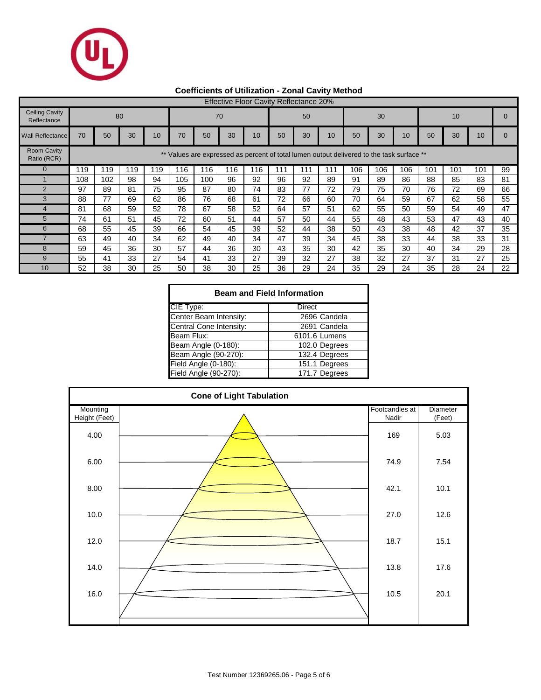

# **Coefficients of Utilization - Zonal Cavity Method**

|                                      | <b>Effective Floor Cavity Reflectance 20%</b>                                                   |     |     |     |     |     |     |     |     |     |     |     |     |     |     |     |     |    |
|--------------------------------------|-------------------------------------------------------------------------------------------------|-----|-----|-----|-----|-----|-----|-----|-----|-----|-----|-----|-----|-----|-----|-----|-----|----|
| <b>Ceiling Cavity</b><br>Reflectance |                                                                                                 |     | 80  |     |     |     | 70  |     |     | 50  |     |     | 30  |     |     | 10  |     |    |
| <b>Wall Reflectance</b>              | 70                                                                                              | 50  | 30  | 10  | 70  | 50  | 30  | 10  | 50  | 30  | 10  | 50  | 30  | 10  | 50  | 30  | 10  |    |
| <b>Room Cavity</b><br>Ratio (RCR)    | $***$<br>Values are expressed as percent of total lumen output delivered to the task surface ** |     |     |     |     |     |     |     |     |     |     |     |     |     |     |     |     |    |
| $\Omega$                             | 119                                                                                             | 119 | 119 | 119 | 116 | 116 | 116 | 116 | 111 | 111 | 111 | 106 | 106 | 106 | 101 | 101 | 101 | 99 |
|                                      | 108                                                                                             | 102 | 98  | 94  | 105 | 100 | 96  | 92  | 96  | 92  | 89  | 91  | 89  | 86  | 88  | 85  | 83  | 81 |
| $\mathfrak{p}$                       | 97                                                                                              | 89  | 81  | 75  | 95  | 87  | 80  | 74  | 83  | 77  | 72  | 79  | 75  | 70  | 76  | 72  | 69  | 66 |
| 3                                    | 88                                                                                              | 77  | 69  | 62  | 86  | 76  | 68  | 61  | 72  | 66  | 60  | 70  | 64  | 59  | 67  | 62  | 58  | 55 |
| 4                                    | 81                                                                                              | 68  | 59  | 52  | 78  | 67  | 58  | 52  | 64  | 57  | 51  | 62  | 55  | 50  | 59  | 54  | 49  | 47 |
| 5                                    | 74                                                                                              | 61  | 51  | 45  | 72  | 60  | 51  | 44  | 57  | 50  | 44  | 55  | 48  | 43  | 53  | 47  | 43  | 40 |
| 6                                    | 68                                                                                              | 55  | 45  | 39  | 66  | 54  | 45  | 39  | 52  | 44  | 38  | 50  | 43  | 38  | 48  | 42  | 37  | 35 |
|                                      | 63                                                                                              | 49  | 40  | 34  | 62  | 49  | 40  | 34  | 47  | 39  | 34  | 45  | 38  | 33  | 44  | 38  | 33  | 31 |
| 8                                    | 59                                                                                              | 45  | 36  | 30  | 57  | 44  | 36  | 30  | 43  | 35  | 30  | 42  | 35  | 30  | 40  | 34  | 29  | 28 |
| 9                                    | 55                                                                                              | 41  | 33  | 27  | 54  | 41  | 33  | 27  | 39  | 32  | 27  | 38  | 32  | 27  | 37  | 31  | 27  | 25 |
| 10                                   | 52                                                                                              | 38  | 30  | 25  | 50  | 38  | 30  | 25  | 36  | 29  | 24  | 35  | 29  | 24  | 35  | 28  | 24  | 22 |

| <b>Beam and Field Information</b> |               |  |  |  |  |  |  |  |  |
|-----------------------------------|---------------|--|--|--|--|--|--|--|--|
| CIE Type:                         | Direct        |  |  |  |  |  |  |  |  |
| Center Beam Intensity:            | 2696 Candela  |  |  |  |  |  |  |  |  |
| Central Cone Intensity:           | 2691 Candela  |  |  |  |  |  |  |  |  |
| Beam Flux:                        | 6101.6 Lumens |  |  |  |  |  |  |  |  |
| Beam Angle (0-180):               | 102.0 Degrees |  |  |  |  |  |  |  |  |
| Beam Angle (90-270):              | 132.4 Degrees |  |  |  |  |  |  |  |  |
| Field Angle (0-180):              | 151.1 Degrees |  |  |  |  |  |  |  |  |
| Field Angle (90-270):             | 171.7 Degrees |  |  |  |  |  |  |  |  |